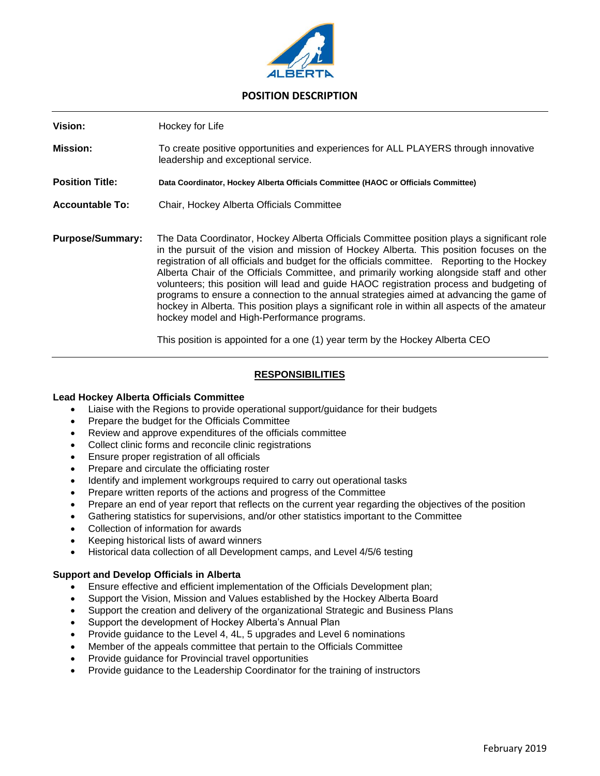

# **POSITION DESCRIPTION**

**Vision:** Hockey for Life **Mission:** To create positive opportunities and experiences for ALL PLAYERS through innovative leadership and exceptional service. **Position Title: Data Coordinator, Hockey Alberta Officials Committee (HAOC or Officials Committee) Accountable To:** Chair, Hockey Alberta Officials Committee **Purpose/Summary:** The Data Coordinator, Hockey Alberta Officials Committee position plays a significant role in the pursuit of the vision and mission of Hockey Alberta. This position focuses on the registration of all officials and budget for the officials committee. Reporting to the Hockey Alberta Chair of the Officials Committee, and primarily working alongside staff and other volunteers; this position will lead and guide HAOC registration process and budgeting of programs to ensure a connection to the annual strategies aimed at advancing the game of hockey in Alberta. This position plays a significant role in within all aspects of the amateur hockey model and High-Performance programs.

This position is appointed for a one (1) year term by the Hockey Alberta CEO

## **RESPONSIBILITIES**

#### **Lead Hockey Alberta Officials Committee**

- Liaise with the Regions to provide operational support/guidance for their budgets
- Prepare the budget for the Officials Committee
- Review and approve expenditures of the officials committee
- Collect clinic forms and reconcile clinic registrations
- Ensure proper registration of all officials
- Prepare and circulate the officiating roster
- Identify and implement workgroups required to carry out operational tasks
- Prepare written reports of the actions and progress of the Committee
- Prepare an end of year report that reflects on the current year regarding the objectives of the position
- Gathering statistics for supervisions, and/or other statistics important to the Committee
- Collection of information for awards
- Keeping historical lists of award winners
- Historical data collection of all Development camps, and Level 4/5/6 testing

#### **Support and Develop Officials in Alberta**

- Ensure effective and efficient implementation of the Officials Development plan;
- Support the Vision, Mission and Values established by the Hockey Alberta Board
- Support the creation and delivery of the organizational Strategic and Business Plans
- Support the development of Hockey Alberta's Annual Plan
- Provide guidance to the Level 4, 4L, 5 upgrades and Level 6 nominations
- Member of the appeals committee that pertain to the Officials Committee
- Provide guidance for Provincial travel opportunities
- Provide guidance to the Leadership Coordinator for the training of instructors